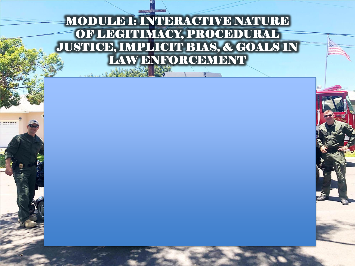#### MODULE 1: INTERACTIVE NATURE OF LEGITIMACY, PROCEDURAL JUSTICE, IMPLICIT BIAS, & GOALS IN LAW ENFORCEMENT

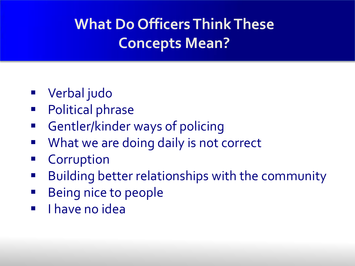#### **What Do Officers Think These Concepts Mean?**

- Verbal judo
- Political phrase
- Gentler/kinder ways of policing
- **What we are doing daily is not correct**
- **Corruption**
- **Building better relationships with the community**
- **Being nice to people**
- **I** I have no idea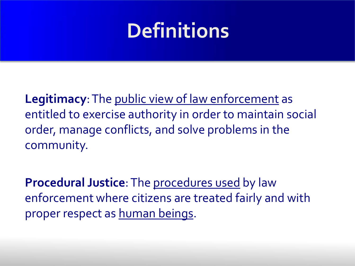### **Definitions**

**Legitimacy**: The public view of law enforcement as entitled to exercise authority in order to maintain social order, manage conflicts, and solve problems in the community.

**Procedural Justice**: The procedures used by law enforcement where citizens are treated fairly and with proper respect as human beings.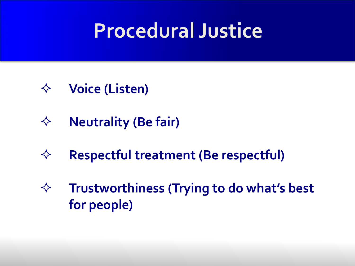## **Procedural Justice**

- **Voice (Listen)**
- **Neutrality (Be fair)**
- **Respectful treatment (Be respectful)**
- **Trustworthiness (Trying to do what's best for people)**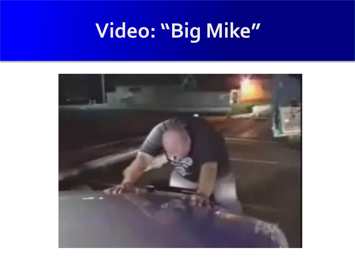# **Video: "Big Mike"**

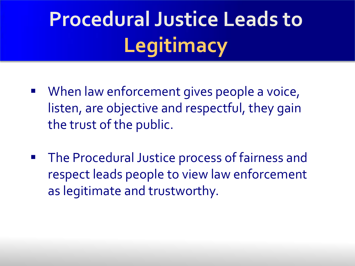# **Procedural Justice Leads to Legitimacy**

- When law enforcement gives people a voice, listen, are objective and respectful, they gain the trust of the public.
- **The Procedural Justice process of fairness and** respect leads people to view law enforcement as legitimate and trustworthy.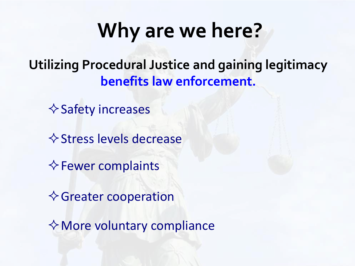## **Why are we here?**

**Utilizing Procedural Justice and gaining legitimacy benefits law enforcement.**

 $\diamond$  Safety increases

 $\diamond$  Stress levels decrease

 $\diamond$  Fewer complaints

**♦ Greater cooperation** 

 $\diamondsuit$  More voluntary compliance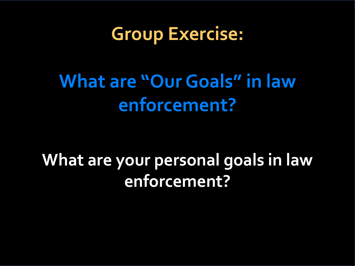**Group Exercise:** 

### **What are "Our Goals" in law enforcement?**

#### **What are your personal goals in law enforcement?**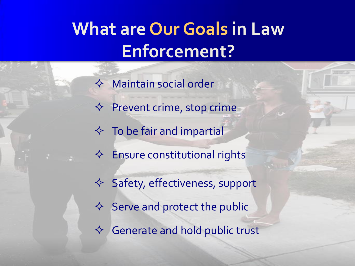#### **What are Our Goals in Law Enforcement?**

 $\Leftrightarrow$  Maintain social order  $\Leftrightarrow$  Prevent crime, stop crime  $\Diamond$  To be fair and impartial  $\Leftrightarrow$  Ensure constitutional rights  $\Diamond$  Safety, effectiveness, support  $\Diamond$  Serve and protect the public  $\Leftrightarrow$  Generate and hold public trust